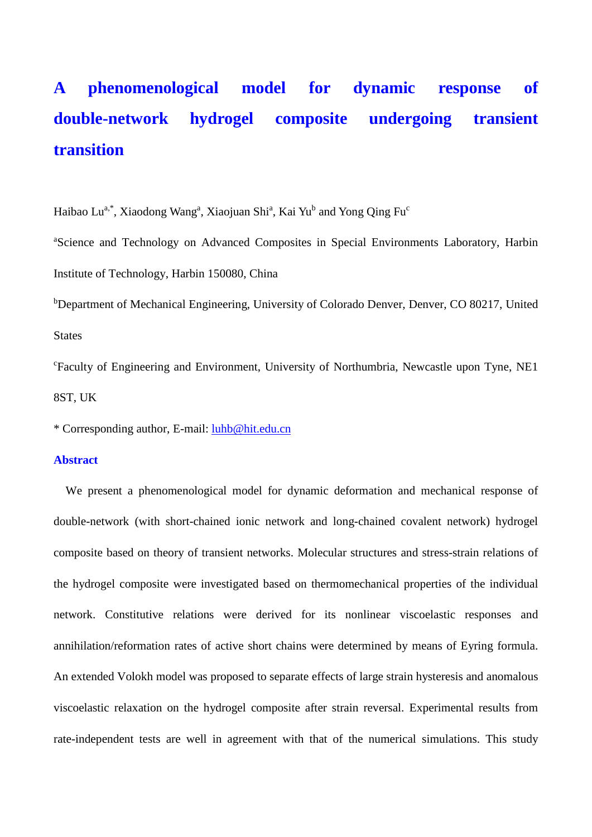# **A phenomenological model for dynamic response of double-network hydrogel composite undergoing transient transition**

Haibao Lu<sup>a,\*</sup>, Xiaodong Wang<sup>a</sup>, Xiaojuan Shi<sup>a</sup>, Kai Yu<sup>b</sup> and Yong Qing Fu<sup>c</sup>

<sup>a</sup>Science and Technology on Advanced Composites in Special Environments Laboratory, Harbin Institute of Technology, Harbin 150080, China

<sup>b</sup>Department of Mechanical Engineering, University of Colorado Denver, Denver, CO 80217, United **States** 

c Faculty of Engineering and Environment, University of Northumbria, Newcastle upon Tyne, NE1 8ST, UK

\* Corresponding author, E-mail: [luhb@hit.edu.cn](mailto:luhb@hit.edu.cn)

#### **Abstract**

We present a phenomenological model for dynamic deformation and mechanical response of double-network (with short-chained ionic network and long-chained covalent network) hydrogel composite based on theory of transient networks. Molecular structures and stress-strain relations of the hydrogel composite were investigated based on thermomechanical properties of the individual network. Constitutive relations were derived for its nonlinear viscoelastic responses and annihilation/reformation rates of active short chains were determined by means of Eyring formula. An extended Volokh model was proposed to separate effects of large strain hysteresis and anomalous viscoelastic relaxation on the hydrogel composite after strain reversal. Experimental results from rate-independent tests are well in agreement with that of the numerical simulations. This study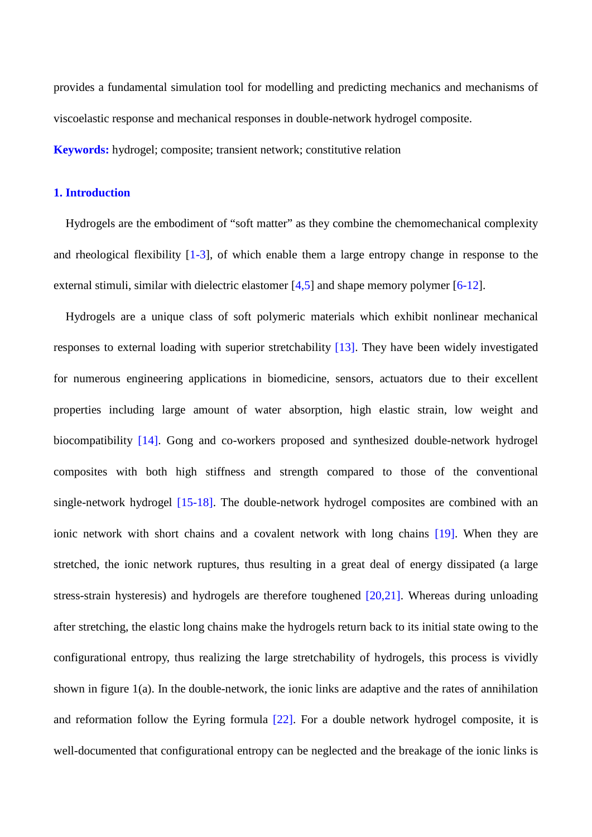provides a fundamental simulation tool for modelling and predicting mechanics and mechanisms of viscoelastic response and mechanical responses in double-network hydrogel composite.

**Keywords:** hydrogel; composite; transient network; constitutive relation

#### **1. Introduction**

Hydrogels are the embodiment of "soft matter" as they combine the chemomechanical complexity and rheological flexibility [1-3], of which enable them a large entropy change in response to the external stimuli, similar with dielectric elastomer [4,5] and shape memory polymer [6-12].

Hydrogels are a unique class of soft polymeric materials which exhibit nonlinear mechanical responses to external loading with superior stretchability [13]. They have been widely investigated for numerous engineering applications in biomedicine, sensors, actuators due to their excellent properties including large amount of water absorption, high elastic strain, low weight and biocompatibility [14]. Gong and co-workers proposed and synthesized double-network hydrogel composites with both high stiffness and strength compared to those of the conventional single-network hydrogel [15-18]. The double-network hydrogel composites are combined with an ionic network with short chains and a covalent network with long chains [19]. When they are stretched, the ionic network ruptures, thus resulting in a great deal of energy dissipated (a large stress-strain hysteresis) and hydrogels are therefore toughened [20,21]. Whereas during unloading after stretching, the elastic long chains make the hydrogels return back to its initial state owing to the configurational entropy, thus realizing the large stretchability of hydrogels, this process is vividly shown in figure 1(a). In the double-network, the ionic links are adaptive and the rates of annihilation and reformation follow the Eyring formula [22]. For a double network hydrogel composite, it is well-documented that configurational entropy can be neglected and the breakage of the ionic links is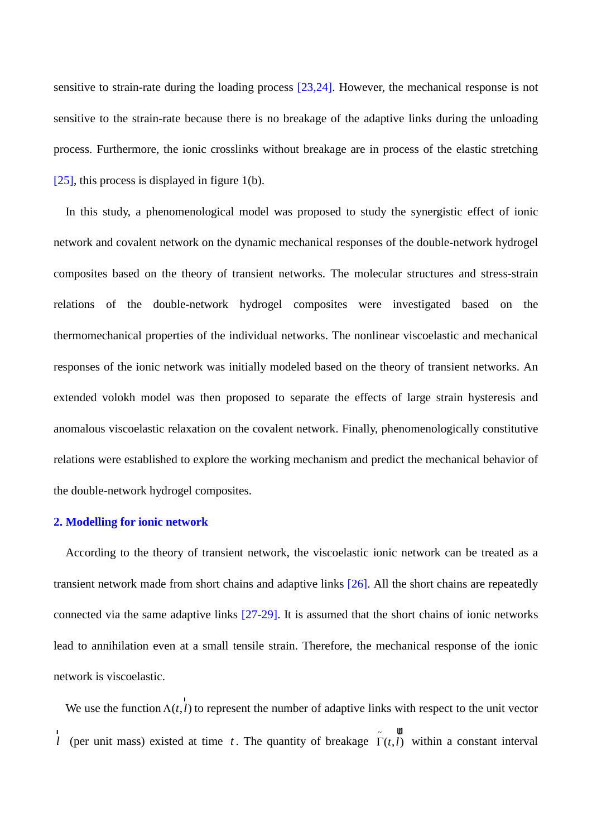sensitive to strain-rate during the loading process [23,24]. However, the mechanical response is not sensitive to the strain-rate because there is no breakage of the adaptive links during the unloading process. Furthermore, the ionic crosslinks without breakage are in process of the elastic stretching [25], this process is displayed in figure 1(b).

In this study, a phenomenological model was proposed to study the synergistic effect of ionic network and covalent network on the dynamic mechanical responses of the double-network hydrogel composites based on the theory of transient networks. The molecular structures and stress-strain relations of the double-network hydrogel composites were investigated based on the thermomechanical properties of the individual networks. The nonlinear viscoelastic and mechanical responses of the ionic network was initially modeled based on the theory of transient networks. An extended volokh model was then proposed to separate the effects of large strain hysteresis and anomalous viscoelastic relaxation on the covalent network. Finally, phenomenologically constitutive relations were established to explore the working mechanism and predict the mechanical behavior of the double-network hydrogel composites.

#### **2. Modelling for ionic network**

According to the theory of transient network, the viscoelastic ionic network can be treated as a transient network made from short chains and adaptive links [26]. All the short chains are repeatedly connected via the same adaptive links [27-29]. It is assumed that the short chains of ionic networks lead to annihilation even at a small tensile strain. Therefore, the mechanical response of the ionic network is viscoelastic.

We use the function  $\Lambda(t, l)$ r to represent the number of adaptive links with respect to the unit vector *l*  $\overline{l}$  (per unit mass) existed at time *t*. The quantity of breakage  $\overline{\Gamma}(t, l)$ u within a constant interval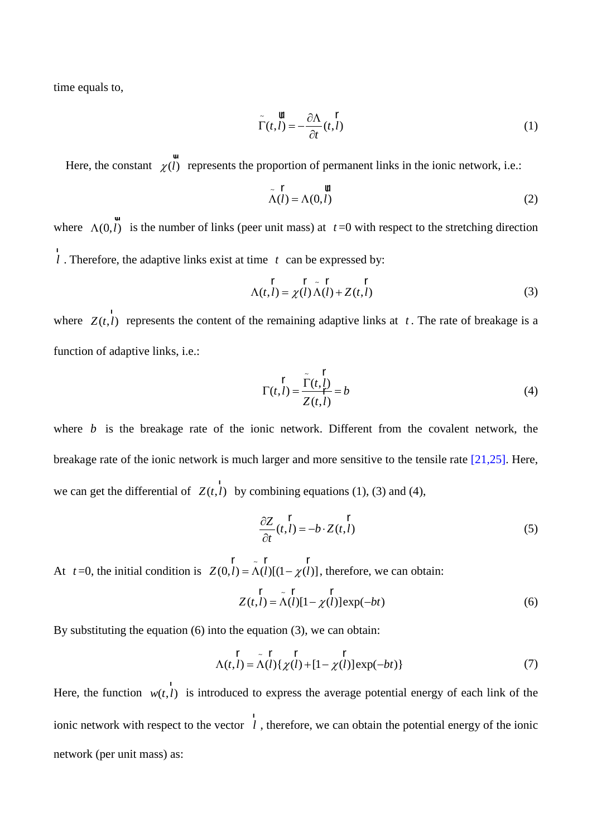time equals to,

$$
\tilde{\Gamma}(t,l) = -\frac{\partial \Lambda}{\partial t}(t,l)
$$
\n(1)

Here, the constant  $\chi(l)$ w represents the proportion of permanent links in the ionic network, i.e.:

$$
\tilde{\Lambda}(l) = \Lambda(0,l) \tag{2}
$$

where  $\Lambda(0, l)$ ur is the number of links (peer unit mass) at  $t=0$  with respect to the stretching direction *l* r . Therefore, the adaptive links exist at time *t* can be expressed by:

$$
\Lambda(t,l) = \chi(l)\tilde{\Lambda}(l) + Z(t,l)
$$
\n(3)

where  $Z(t, l)$ r represents the content of the remaining adaptive links at *t* . The rate of breakage is a function of adaptive links, i.e.:

$$
\Gamma(t,l) = \frac{\tilde{\Gamma}(t,l)}{Z(t,l)} = b
$$
\n(4)

where *b* is the breakage rate of the ionic network. Different from the covalent network, the breakage rate of the ionic network is much larger and more sensitive to the tensile rate [21,25]. Here, we can get the differential of  $Z(t, l)$ r by combining equations (1), (3) and (4),

$$
\frac{\partial Z}{\partial t}(t,l) = -b \cdot Z(t,l) \tag{5}
$$

At  $t=0$ , the initial condition is  $Z(0,l) = \tilde{\Lambda}(l)[(1-\chi(l))]$  $r \sim r$  r , therefore, we can obtain:

$$
Z(t,l) = \tilde{\Lambda}(l)[1 - \chi(l)]\exp(-bt)
$$
 (6)

By substituting the equation (6) into the equation (3), we can obtain:

$$
\Lambda(t,l) = \tilde{\Lambda}(l)\{\chi(l) + [1 - \chi(l)]\exp(-bt)\}\tag{7}
$$

Here, the function  $w(t, l)$ r is introduced to express the average potential energy of each link of the ionic network with respect to the vector *l* r , therefore, we can obtain the potential energy of the ionic network (per unit mass) as: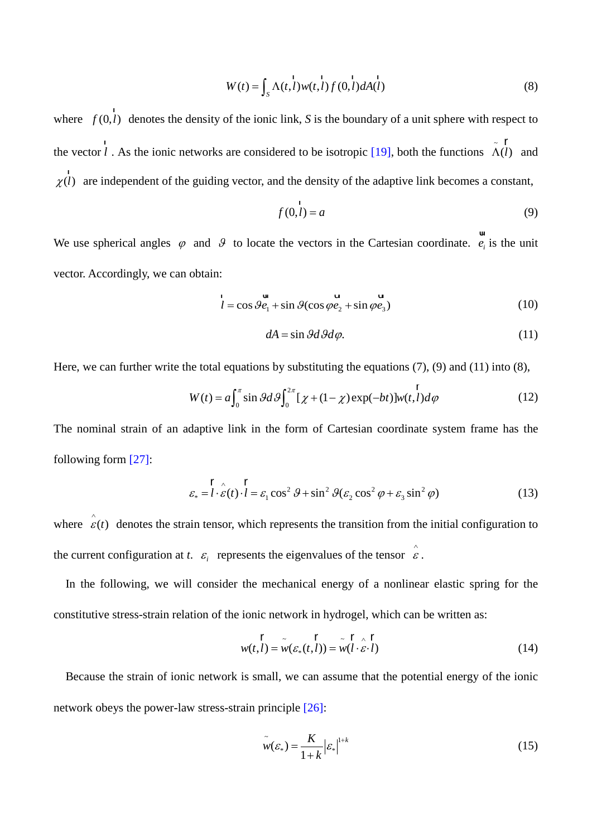$$
W(t) = \int_{S} \Lambda(t, l) w(t, l) f(0, l) dA(l)
$$
\n(8)

where  $f(0, l)$ r denotes the density of the ionic link, *S* is the boundary of a unit sphere with respect to the vector *l* r<br> *l*. As the ionic networks are considered to be isotropic [19], both the functions  $\tilde{\Lambda}(l)$ r and  $\chi$ <sup>(l)</sup> r are independent of the guiding vector, and the density of the adaptive link becomes a constant,

$$
f(0,l) = a \tag{9}
$$

We use spherical angles  $\varphi$  and  $\vartheta$  to locate the vectors in the Cartesian coordinate.  $e_i$ ur is the unit vector. Accordingly, we can obtain:

$$
l = \cos \theta e_1 + \sin \theta (\cos \varphi e_2 + \sin \varphi e_3)
$$
 (10)

$$
dA = \sin \theta d\theta d\varphi. \tag{11}
$$

Here, we can further write the total equations by substituting the equations (7), (9) and (11) into (8),

$$
W(t) = a \int_0^{\pi} \sin \theta d\theta \int_0^{2\pi} [\chi + (1 - \chi) \exp(-bt)] w(t, l) d\varphi
$$
 (12)

The nominal strain of an adaptive link in the form of Cartesian coordinate system frame has the following form [27]:

$$
\varepsilon_{*} = l \cdot \hat{\varepsilon}(t) \cdot l = \varepsilon_{1} \cos^{2} \theta + \sin^{2} \theta (\varepsilon_{2} \cos^{2} \phi + \varepsilon_{3} \sin^{2} \phi)
$$
(13)

where  $\hat{\epsilon}(t)$  denotes the strain tensor, which represents the transition from the initial configuration to the current configuration at *t*.  $\varepsilon$ <sub>*i*</sub> represents the eigenvalues of the tensor  $\hat{\varepsilon}$ .

In the following, we will consider the mechanical energy of a nonlinear elastic spring for the constitutive stress-strain relation of the ionic network in hydrogel, which can be written as:

$$
\mathbf{r} = \mathbf{r} \mathbf{r} + \mathbf{r} \mathbf{r}
$$
  

$$
w(t, l) = w(\varepsilon_*(t, l)) = w(l \cdot \varepsilon \cdot l)
$$
 (14)

Because the strain of ionic network is small, we can assume that the potential energy of the ionic network obeys the power-law stress-strain principle [26]:

$$
\tilde{w}(\varepsilon_*) = \frac{K}{1+k} |\varepsilon_*|^{1+k} \tag{15}
$$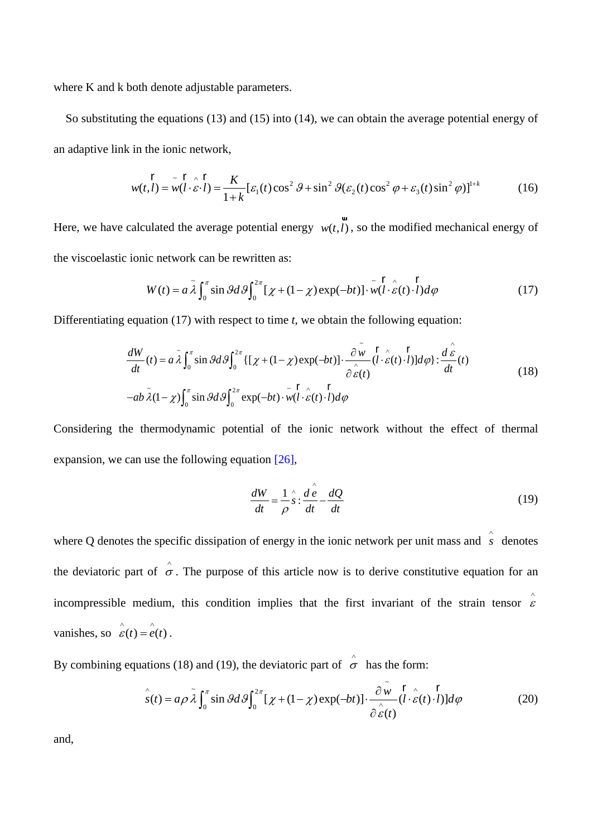where K and k both denote adjustable parameters.

So substituting the equations (13) and (15) into (14), we can obtain the average potential energy of an adaptive link in the ionic network,

$$
w(t,l) = w(l \cdot \hat{\varepsilon} \cdot l) = \frac{K}{1+k} [\varepsilon_1(t) \cos^2 \theta + \sin^2 \theta (\varepsilon_2(t) \cos^2 \phi + \varepsilon_3(t) \sin^2 \phi)]^{1+k}
$$
(16)

Here, we have calculated the average potential energy  $w(t, l)$ ur , so the modified mechanical energy of the viscoelastic ionic network can be rewritten as:

$$
W(t) = a \tilde{\lambda} \int_0^{\pi} \sin \theta d\theta \int_0^{2\pi} [\chi + (1 - \chi) \exp(-bt)] \cdot w(l \cdot \hat{\varepsilon}(t) \cdot l) d\varphi
$$
 (17)

Differentiating equation (17) with respect to time *t*, we obtain the following equation:

$$
\frac{dW}{dt}(t) = a\,\tilde{\lambda}\int_0^{\pi} \sin\theta d\theta \int_0^{2\pi} \{[\chi + (1-\chi)\exp(-bt)] \cdot \frac{\partial \tilde{w}}{\partial \hat{\epsilon}(t)} \frac{\Gamma \wedge \Gamma}{(l \cdot \hat{\epsilon}(t) \cdot l)} d\varphi\} : \frac{d\hat{\epsilon}}{dt}(t)
$$
\n
$$
-ab\,\tilde{\lambda}(1-\chi)\int_0^{\pi} \sin\theta d\theta \int_0^{2\pi} \exp(-bt) \cdot \tilde{w}(l \cdot \hat{\epsilon}(t) \cdot l) d\varphi
$$
\n(18)

Considering the thermodynamic potential of the ionic network without the effect of thermal expansion, we can use the following equation [26],

$$
\frac{dW}{dt} = \frac{1}{\rho}\hat{s} : \frac{d\hat{e}}{dt} - \frac{dQ}{dt}
$$
(19)

where Q denotes the specific dissipation of energy in the ionic network per unit mass and  $\hat{s}$  denotes the deviatoric part of  $\hat{\sigma}$ . The purpose of this article now is to derive constitutive equation for an incompressible medium, this condition implies that the first invariant of the strain tensor  $\hat{\varepsilon}$ vanishes, so  $\hat{\varepsilon}(t) = \hat{\varepsilon}(t)$ .

By combining equations (18) and (19), the deviatoric part of  $\hat{\sigma}$  has the form:

$$
\hat{s}(t) = a\rho \tilde{\lambda} \int_0^{\pi} \sin \theta d\theta \int_0^{2\pi} [\chi + (1 - \chi) \exp(-bt)] \cdot \frac{\partial \tilde{w}}{\partial \hat{\epsilon}(t)} \int_0^{\pi} \hat{\epsilon}(t) \cdot \tilde{t} d\phi
$$
\n(20)

and,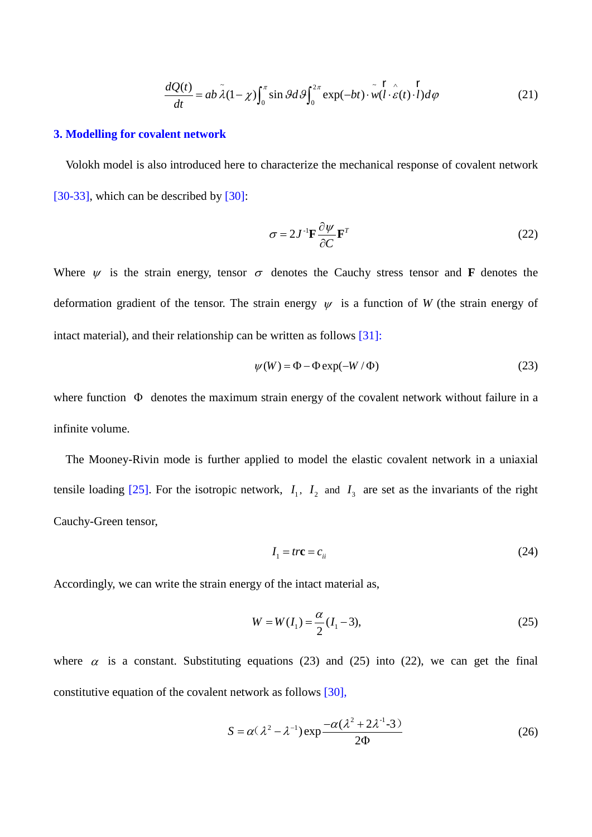$$
\frac{dQ(t)}{dt} = ab \tilde{\lambda}(1-\chi) \int_0^{\pi} \sin \theta d\theta \int_0^{2\pi} \exp(-bt) \cdot \tilde{w}(l \cdot \hat{\varepsilon}(t) \cdot l) d\varphi
$$
\n(21)

#### **3. Modelling for covalent network**

 Volokh model is also introduced here to characterize the mechanical response of covalent network [30-33], which can be described by [30]:

$$
\sigma = 2J^{-1}\mathbf{F}\frac{\partial \psi}{\partial C}\mathbf{F}^T
$$
 (22)

Where  $\psi$  is the strain energy, tensor  $\sigma$  denotes the Cauchy stress tensor and **F** denotes the deformation gradient of the tensor. The strain energy  $\psi$  is a function of *W* (the strain energy of intact material), and their relationship can be written as follows [31]:

$$
\psi(W) = \Phi - \Phi \exp(-W/\Phi) \tag{23}
$$

where function Φ denotes the maximum strain energy of the covalent network without failure in a infinite volume.

 The Mooney-Rivin mode is further applied to model the elastic covalent network in a uniaxial tensile loading  $[25]$ . For the isotropic network,  $I_1$ ,  $I_2$  and  $I_3$  are set as the invariants of the right Cauchy-Green tensor,

$$
I_1 = tr\mathbf{c} = c_{ii} \tag{24}
$$

Accordingly, we can write the strain energy of the intact material as,

$$
W = W(I_1) = \frac{\alpha}{2}(I_1 - 3),\tag{25}
$$

where  $\alpha$  is a constant. Substituting equations (23) and (25) into (22), we can get the final constitutive equation of the covalent network as follows [30],

$$
S = \alpha(\lambda^2 - \lambda^{-1}) \exp \frac{-\alpha(\lambda^2 + 2\lambda^{-1} - 3)}{2\Phi}
$$
 (26)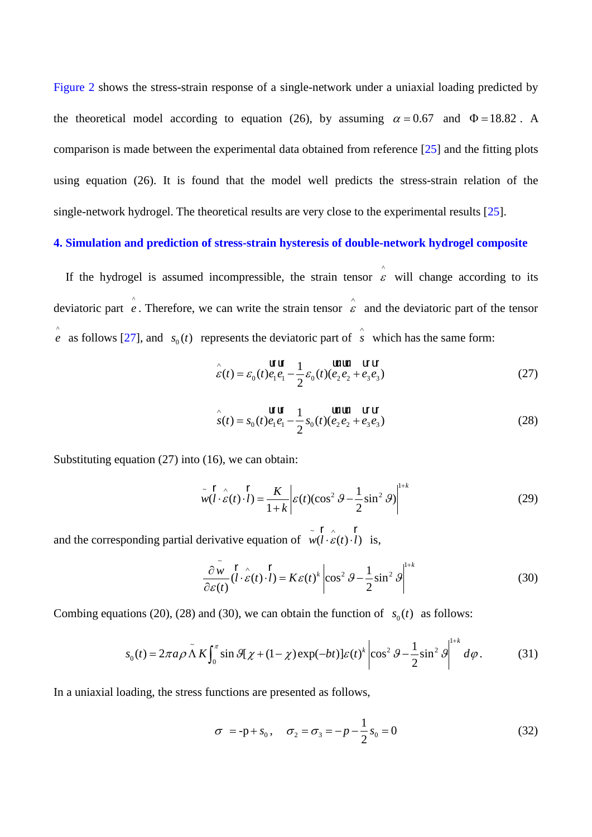Figure 2 shows the stress-strain response of a single-network under a uniaxial loading predicted by the theoretical model according to equation (26), by assuming  $\alpha = 0.67$  and  $\Phi = 18.82$ . A comparison is made between the experimental data obtained from reference [25] and the fitting plots using equation (26). It is found that the model well predicts the stress-strain relation of the single-network hydrogel. The theoretical results are very close to the experimental results [25].

### **4. Simulation and prediction of stress-strain hysteresis of double-network hydrogel composite**

If the hydrogel is assumed incompressible, the strain tensor  $\hat{\epsilon}$  will change according to its deviatoric part  $\hat{e}$ . Therefore, we can write the strain tensor  $\hat{\hat{e}}$  and the deviatoric part of the tensor  $\hat{e}$  as follows [27], and  $s_0(t)$  represents the deviatoric part of  $\hat{s}$  which has the same form:

$$
\mathcal{E}(t) = \mathcal{E}_0(t)e_1e_1 - \frac{1}{2}\mathcal{E}_0(t)(e_2e_2 + e_3e_3)
$$
\n(27)

$$
\hat{s}(t) = s_0(t)e_1e_1 - \frac{1}{2}s_0(t)(e_2e_2 + e_3e_3)
$$
\n(28)

Substituting equation (27) into (16), we can obtain:

$$
\overline{w}(l \cdot \hat{\varepsilon}(t) \cdot l) = \frac{K}{1+k} \left| \varepsilon(t) (\cos^2 \theta - \frac{1}{2} \sin^2 \theta) \right|^{1+k}
$$
(29)

and the corresponding partial derivative equation of  $w(l \cdot \varepsilon(t) \cdot l)$ r r is,

$$
\frac{\partial \tilde{w}}{\partial \varepsilon(t)} \left( \vec{l} \cdot \hat{\varepsilon}(t) \cdot \vec{l} \right) = K \varepsilon(t)^k \left| \cos^2 \theta - \frac{1}{2} \sin^2 \theta \right|^{1+k}
$$
\n(30)

Combing equations (20), (28) and (30), we can obtain the function of  $s_0(t)$  as follows:

$$
s_0(t) = 2\pi a \rho \tilde{\Lambda} K \int_0^{\pi} \sin \vartheta [\chi + (1 - \chi) \exp(-bt)] \varepsilon(t)^k \left| \cos^2 \vartheta - \frac{1}{2} \sin^2 \vartheta \right|^{1+k} d\varphi. \tag{31}
$$

In a uniaxial loading, the stress functions are presented as follows,

$$
\sigma = -p + s_0, \quad \sigma_2 = \sigma_3 = -p - \frac{1}{2} s_0 = 0 \tag{32}
$$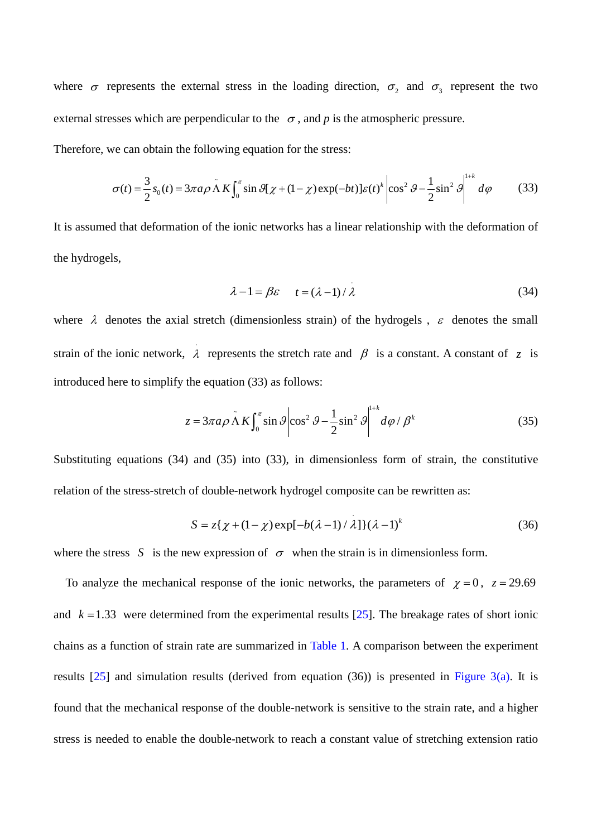where  $\sigma$  represents the external stress in the loading direction,  $\sigma_2$  and  $\sigma_3$  represent the two external stresses which are perpendicular to the  $\sigma$ , and p is the atmospheric pressure.

Therefore, we can obtain the following equation for the stress:

$$
\sigma(t) = \frac{3}{2} s_0(t) = 3\pi a \rho \tilde{\Lambda} K \int_0^{\pi} \sin \vartheta [\chi + (1 - \chi) \exp(-bt)] \varepsilon(t)^k \left| \cos^2 \vartheta - \frac{1}{2} \sin^2 \vartheta \right|^{1+k} d\varphi
$$
 (33)

It is assumed that deformation of the ionic networks has a linear relationship with the deformation of the hydrogels,

$$
\lambda - 1 = \beta \varepsilon \qquad t = (\lambda - 1) / \lambda \tag{34}
$$

where  $\lambda$  denotes the axial stretch (dimensionless strain) of the hydrogels ,  $\varepsilon$  denotes the small strain of the ionic network,  $\lambda$  represents the stretch rate and  $\beta$  is a constant. A constant of *z* is introduced here to simplify the equation (33) as follows:

$$
z = 3\pi a \rho \tilde{\Lambda} K \int_0^{\pi} \sin \theta \Big| \cos^2 \theta - \frac{1}{2} \sin^2 \theta \Big|^{1+k} d\varphi / \beta^k \tag{35}
$$

Substituting equations (34) and (35) into (33), in dimensionless form of strain, the constitutive relation of the stress-stretch of double-network hydrogel composite can be rewritten as:

$$
S = z\{\chi + (1 - \chi)\exp[-b(\lambda - 1)/\lambda]\}(\lambda - 1)^{k}
$$
 (36)

where the stress *S* is the new expression of  $\sigma$  when the strain is in dimensionless form.

To analyze the mechanical response of the ionic networks, the parameters of  $\chi = 0$ ,  $z = 29.69$ and  $k = 1.33$  were determined from the experimental results  $[25]$ . The breakage rates of short ionic chains as a function of strain rate are summarized in Table 1. A comparison between the experiment results [25] and simulation results (derived from equation (36)) is presented in Figure 3(a). It is found that the mechanical response of the double-network is sensitive to the strain rate, and a higher stress is needed to enable the double-network to reach a constant value of stretching extension ratio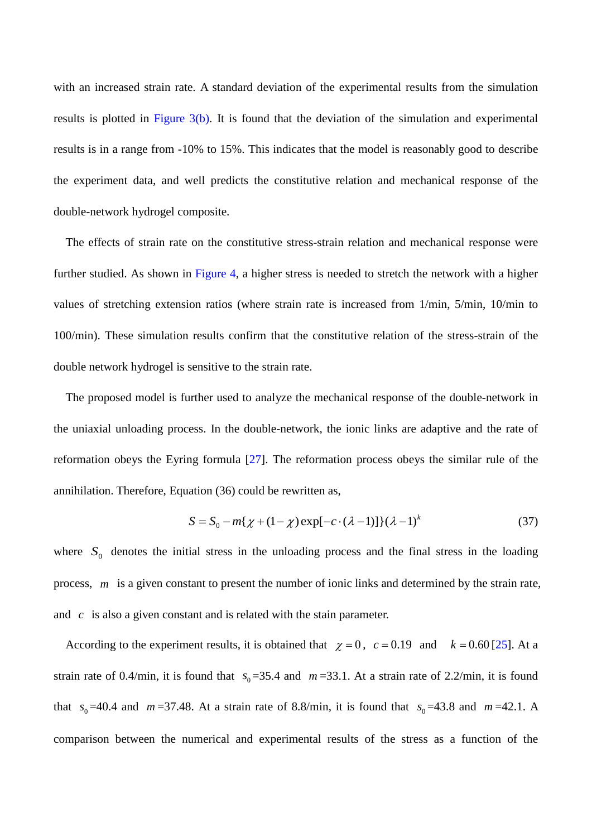with an increased strain rate. A standard deviation of the experimental results from the simulation results is plotted in Figure 3(b). It is found that the deviation of the simulation and experimental results is in a range from -10% to 15%. This indicates that the model is reasonably good to describe the experiment data, and well predicts the constitutive relation and mechanical response of the double-network hydrogel composite.

The effects of strain rate on the constitutive stress-strain relation and mechanical response were further studied. As shown in Figure 4, a higher stress is needed to stretch the network with a higher values of stretching extension ratios (where strain rate is increased from 1/min, 5/min, 10/min to 100/min). These simulation results confirm that the constitutive relation of the stress-strain of the double network hydrogel is sensitive to the strain rate.

The proposed model is further used to analyze the mechanical response of the double-network in the uniaxial unloading process. In the double-network, the ionic links are adaptive and the rate of reformation obeys the Eyring formula [27]. The reformation process obeys the similar rule of the annihilation. Therefore, Equation (36) could be rewritten as,

$$
S = S_0 - m\{\chi + (1 - \chi)\exp[-c \cdot (\lambda - 1)]\} (\lambda - 1)^k
$$
\n(37)

where  $S_0$  denotes the initial stress in the unloading process and the final stress in the loading process, *m* is a given constant to present the number of ionic links and determined by the strain rate, and *c* is also a given constant and is related with the stain parameter.

According to the experiment results, it is obtained that  $\chi = 0$ ,  $c = 0.19$  and  $k = 0.60$  [25]. At a strain rate of 0.4/min, it is found that  $s_0 = 35.4$  and  $m = 33.1$ . At a strain rate of 2.2/min, it is found that  $s_0 = 40.4$  and  $m = 37.48$ . At a strain rate of 8.8/min, it is found that  $s_0 = 43.8$  and  $m = 42.1$ . A comparison between the numerical and experimental results of the stress as a function of the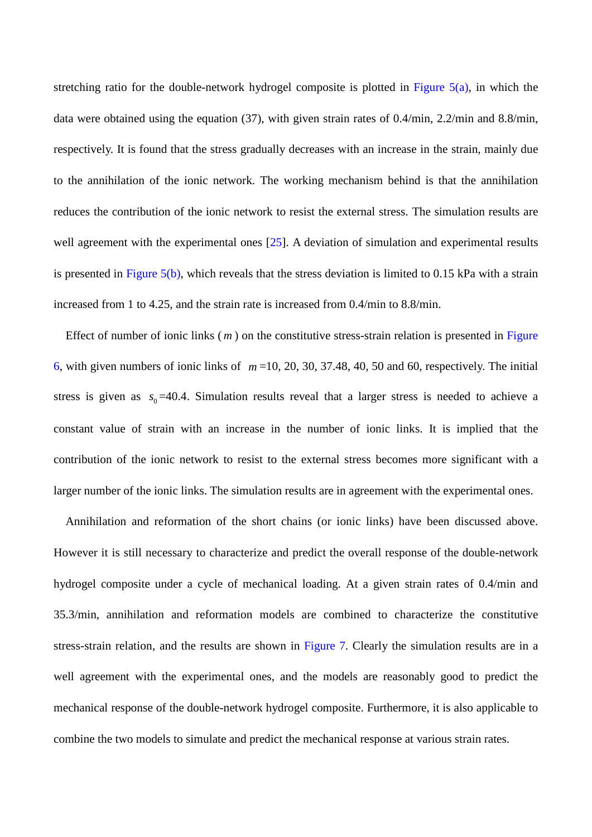stretching ratio for the double-network hydrogel composite is plotted in Figure  $5(a)$ , in which the data were obtained using the equation (37), with given strain rates of 0.4/min, 2.2/min and 8.8/min, respectively. It is found that the stress gradually decreases with an increase in the strain, mainly due to the annihilation of the ionic network. The working mechanism behind is that the annihilation reduces the contribution of the ionic network to resist the external stress. The simulation results are well agreement with the experimental ones [25]. A deviation of simulation and experimental results is presented in Figure 5(b), which reveals that the stress deviation is limited to 0.15 kPa with a strain increased from 1 to 4.25, and the strain rate is increased from 0.4/min to 8.8/min.

Effect of number of ionic links  $(m)$  on the constitutive stress-strain relation is presented in Figure 6, with given numbers of ionic links of  $m = 10, 20, 30, 37.48, 40, 50$  and 60, respectively. The initial stress is given as  $s_0 = 40.4$ . Simulation results reveal that a larger stress is needed to achieve a constant value of strain with an increase in the number of ionic links. It is implied that the contribution of the ionic network to resist to the external stress becomes more significant with a larger number of the ionic links. The simulation results are in agreement with the experimental ones.

Annihilation and reformation of the short chains (or ionic links) have been discussed above. However it is still necessary to characterize and predict the overall response of the double-network hydrogel composite under a cycle of mechanical loading. At a given strain rates of 0.4/min and 35.3/min, annihilation and reformation models are combined to characterize the constitutive stress-strain relation, and the results are shown in Figure 7. Clearly the simulation results are in a well agreement with the experimental ones, and the models are reasonably good to predict the mechanical response of the double-network hydrogel composite. Furthermore, it is also applicable to combine the two models to simulate and predict the mechanical response at various strain rates.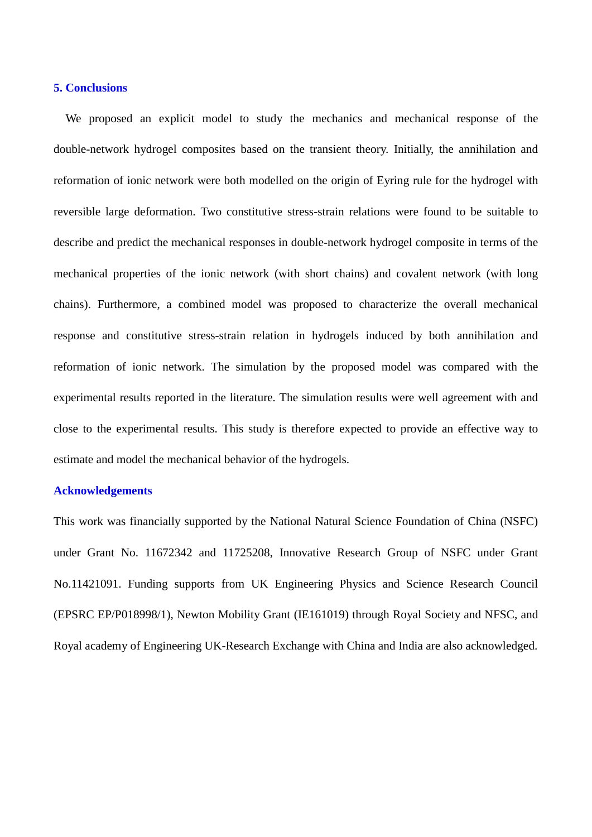#### **5. Conclusions**

We proposed an explicit model to study the mechanics and mechanical response of the double-network hydrogel composites based on the transient theory. Initially, the annihilation and reformation of ionic network were both modelled on the origin of Eyring rule for the hydrogel with reversible large deformation. Two constitutive stress-strain relations were found to be suitable to describe and predict the mechanical responses in double-network hydrogel composite in terms of the mechanical properties of the ionic network (with short chains) and covalent network (with long chains). Furthermore, a combined model was proposed to characterize the overall mechanical response and constitutive stress-strain relation in hydrogels induced by both annihilation and reformation of ionic network. The simulation by the proposed model was compared with the experimental results reported in the literature. The simulation results were well agreement with and close to the experimental results. This study is therefore expected to provide an effective way to estimate and model the mechanical behavior of the hydrogels.

#### **Acknowledgements**

This work was financially supported by the National Natural Science Foundation of China (NSFC) under Grant No. 11672342 and 11725208, Innovative Research Group of NSFC under Grant No.11421091. Funding supports from UK Engineering Physics and Science Research Council (EPSRC EP/P018998/1), Newton Mobility Grant (IE161019) through Royal Society and NFSC, and Royal academy of Engineering UK-Research Exchange with China and India are also acknowledged.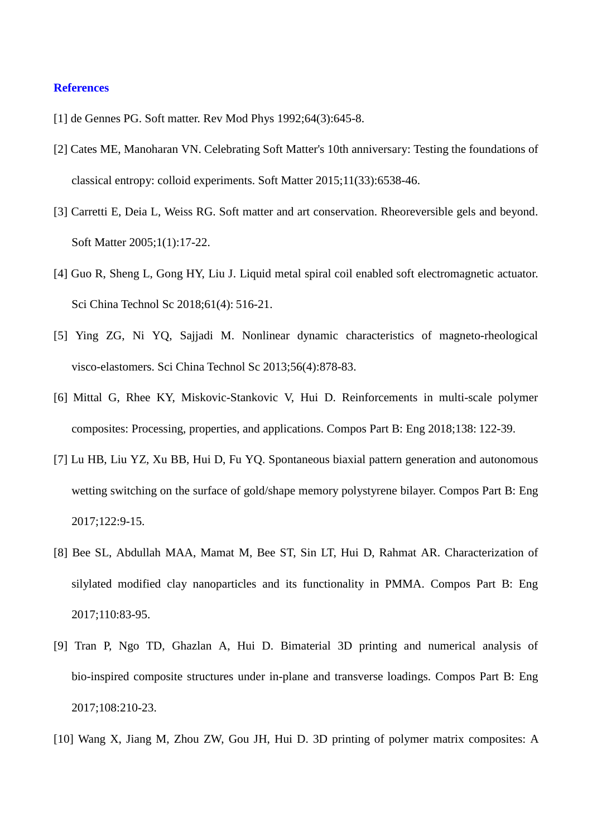#### **References**

- [1] de Gennes PG. Soft matter. Rev Mod Phys 1992;64(3):645-8.
- [2] Cates ME, Manoharan VN. Celebrating Soft Matter's 10th anniversary: Testing the foundations of classical entropy: colloid experiments. Soft Matter 2015;11(33):6538-46.
- [3] Carretti E, Deia L, Weiss RG. Soft matter and art conservation. Rheoreversible gels and beyond. Soft Matter 2005;1(1):17-22.
- [4] Guo R, Sheng L, Gong HY, Liu J. Liquid metal spiral coil enabled soft electromagnetic actuator. Sci China Technol Sc 2018;61(4): 516-21.
- [5] Ying ZG, Ni YQ, Sajjadi M. Nonlinear dynamic characteristics of magneto-rheological visco-elastomers. Sci China Technol Sc 2013;56(4):878-83.
- [6] Mittal G, Rhee KY, Miskovic-Stankovic V, Hui D. Reinforcements in multi-scale polymer composites: Processing, properties, and applications. Compos Part B: Eng 2018;138: 122-39.
- [7] Lu HB, Liu YZ, Xu BB, Hui D, Fu YQ. Spontaneous biaxial pattern generation and autonomous wetting switching on the surface of gold/shape memory polystyrene bilayer. Compos Part B: Eng 2017;122:9-15.
- [8] Bee SL, Abdullah MAA, Mamat M, Bee ST, Sin LT, Hui D, Rahmat AR. Characterization of silylated modified clay nanoparticles and its functionality in PMMA. Compos Part B: Eng 2017;110:83-95.
- [9] Tran P, Ngo TD, Ghazlan A, Hui D. Bimaterial 3D printing and numerical analysis of bio-inspired composite structures under in-plane and transverse loadings. Compos Part B: Eng 2017;108:210-23.
- [10] Wang X, Jiang M, Zhou ZW, Gou JH, Hui D. 3D printing of polymer matrix composites: A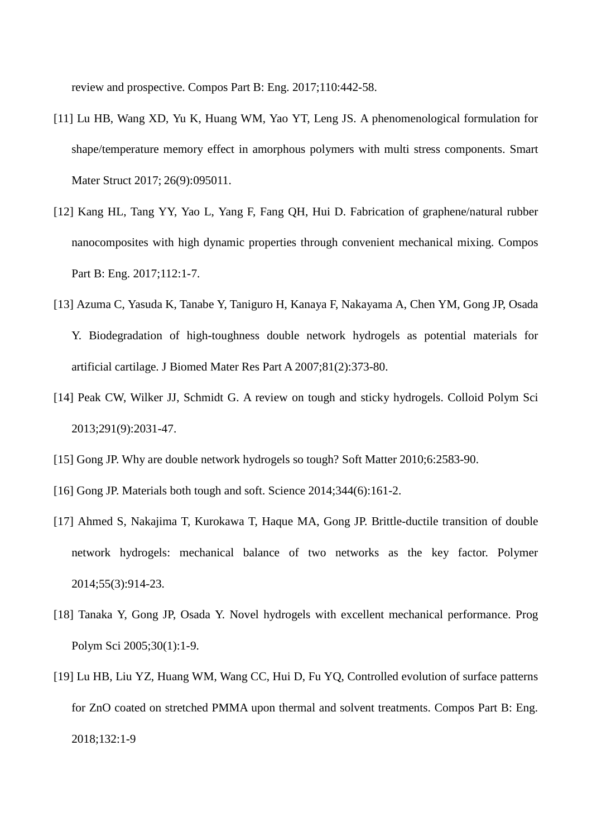review and prospective. Compos Part B: Eng. 2017;110:442-58.

- [11] Lu HB, Wang XD, Yu K, Huang WM, Yao YT, Leng JS. A phenomenological formulation for shape/temperature memory effect in amorphous polymers with multi stress components. Smart Mater Struct 2017; 26(9):095011.
- [12] Kang HL, Tang YY, Yao L, Yang F, Fang QH, Hui D. Fabrication of graphene/natural rubber nanocomposites with high dynamic properties through convenient mechanical mixing. Compos Part B: Eng. 2017;112:1-7.
- [13] Azuma C, Yasuda K, Tanabe Y, Taniguro H, Kanaya F, Nakayama A, Chen YM, Gong JP, Osada Y. Biodegradation of high-toughness double network hydrogels as potential materials for artificial cartilage. J Biomed Mater Res Part A 2007;81(2):373-80.
- [14] Peak CW, Wilker JJ, Schmidt G. A review on tough and sticky hydrogels. Colloid Polym Sci 2013;291(9):2031-47.
- [15] Gong JP. Why are double network hydrogels so tough? Soft Matter 2010;6:2583-90.
- [16] Gong JP. Materials both tough and soft. Science 2014;344(6):161-2.
- [17] Ahmed S, Nakajima T, Kurokawa T, Haque MA, Gong JP. Brittle-ductile transition of double network hydrogels: mechanical balance of two networks as the key factor. Polymer 2014;55(3):914-23.
- [18] Tanaka Y, Gong JP, Osada Y. Novel hydrogels with excellent mechanical performance. Prog Polym Sci 2005;30(1):1-9.
- [19] Lu HB, Liu YZ, Huang WM, Wang CC, Hui D, Fu YQ, Controlled evolution of surface patterns for ZnO coated on stretched PMMA upon thermal and solvent treatments. Compos Part B: Eng. 2018;132:1-9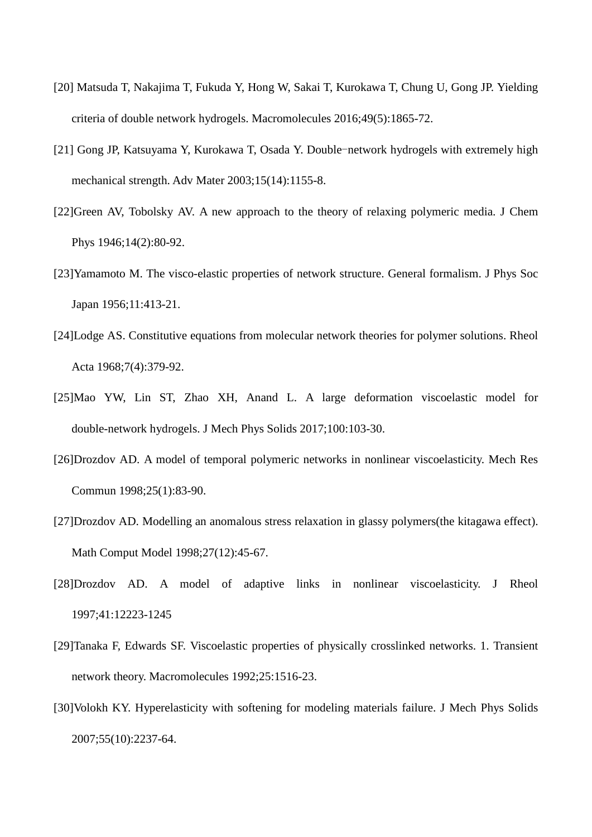- [20] Matsuda T, Nakajima T, Fukuda Y, Hong W, Sakai T, Kurokawa T, Chung U, Gong JP. Yielding criteria of double network hydrogels. Macromolecules 2016;49(5):1865-72.
- [21] Gong JP, Katsuyama Y, Kurokawa T, Osada Y. Double-network hydrogels with extremely high mechanical strength. Adv Mater 2003;15(14):1155-8.
- [22]Green AV, Tobolsky AV. A new approach to the theory of relaxing polymeric media. J Chem Phys 1946;14(2):80-92.
- [23]Yamamoto M. The visco-elastic properties of network structure. General formalism. J Phys Soc Japan 1956;11:413-21.
- [24]Lodge AS. Constitutive equations from molecular network theories for polymer solutions. Rheol Acta 1968;7(4):379-92.
- [25]Mao YW, Lin ST, Zhao XH, Anand L. A large deformation viscoelastic model for double-network hydrogels. J Mech Phys Solids 2017;100:103-30.
- [26]Drozdov AD. A model of temporal polymeric networks in nonlinear viscoelasticity. Mech Res Commun 1998;25(1):83-90.
- [27]Drozdov AD. Modelling an anomalous stress relaxation in glassy polymers(the kitagawa effect). Math Comput Model 1998;27(12):45-67.
- [28]Drozdov AD. A model of adaptive links in nonlinear viscoelasticity. J Rheol 1997;41:12223-1245
- [29]Tanaka F, Edwards SF. Viscoelastic properties of physically crosslinked networks. 1. Transient network theory. Macromolecules 1992;25:1516-23.
- [30]Volokh KY. Hyperelasticity with softening for modeling materials failure. J Mech Phys Solids 2007;55(10):2237-64.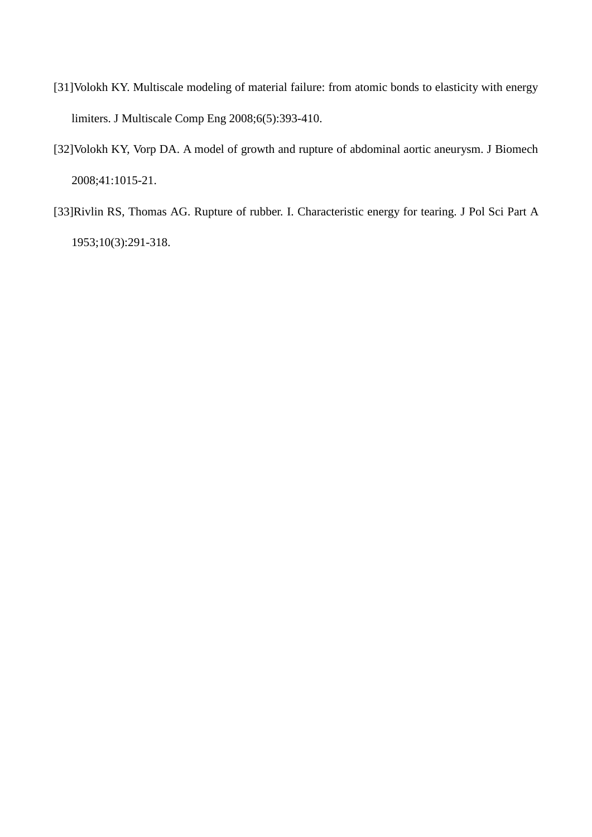- [31]Volokh KY. Multiscale modeling of material failure: from atomic bonds to elasticity with energy limiters. J Multiscale Comp Eng 2008;6(5):393-410.
- [32]Volokh KY, Vorp DA. A model of growth and rupture of abdominal aortic aneurysm. J Biomech 2008;41:1015-21.
- [33]Rivlin RS, Thomas AG. Rupture of rubber. I. Characteristic energy for tearing. J Pol Sci Part A 1953;10(3):291-318.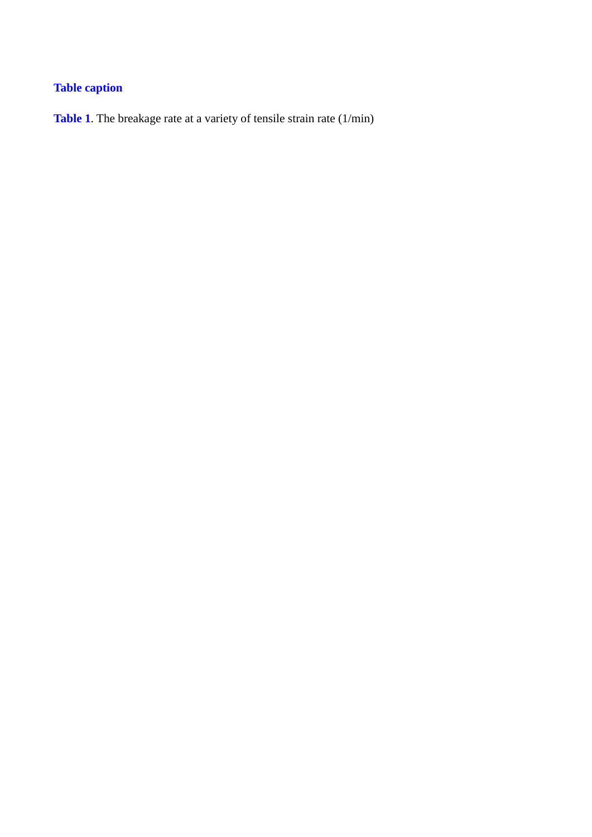## **Table caption**

**Table 1**. The breakage rate at a variety of tensile strain rate (1/min)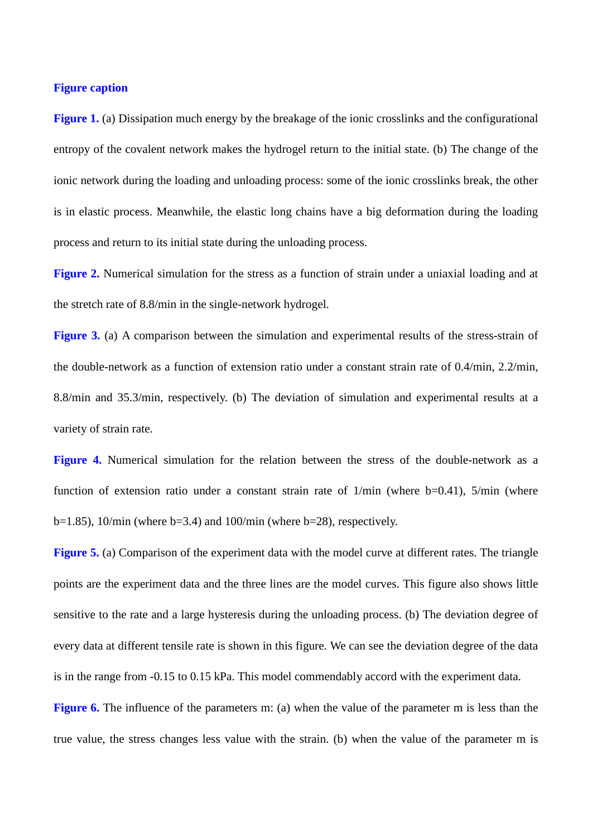#### **Figure caption**

**Figure 1.** (a) Dissipation much energy by the breakage of the ionic crosslinks and the configurational entropy of the covalent network makes the hydrogel return to the initial state. (b) The change of the ionic network during the loading and unloading process: some of the ionic crosslinks break, the other is in elastic process. Meanwhile, the elastic long chains have a big deformation during the loading process and return to its initial state during the unloading process.

**Figure 2.** Numerical simulation for the stress as a function of strain under a uniaxial loading and at the stretch rate of 8.8/min in the single-network hydrogel.

**Figure 3.** (a) A comparison between the simulation and experimental results of the stress-strain of the double-network as a function of extension ratio under a constant strain rate of 0.4/min, 2.2/min, 8.8/min and 35.3/min, respectively. (b) The deviation of simulation and experimental results at a variety of strain rate.

**Figure 4.** Numerical simulation for the relation between the stress of the double-network as a function of extension ratio under a constant strain rate of  $1/\text{min}$  (where b=0.41),  $5/\text{min}$  (where b=1.85), 10/min (where b=3.4) and 100/min (where b=28), respectively.

**Figure 5.** (a) Comparison of the experiment data with the model curve at different rates. The triangle points are the experiment data and the three lines are the model curves. This figure also shows little sensitive to the rate and a large hysteresis during the unloading process. (b) The deviation degree of every data at different tensile rate is shown in this figure. We can see the deviation degree of the data is in the range from -0.15 to 0.15 kPa. This model commendably accord with the experiment data.

**Figure 6.** The influence of the parameters m: (a) when the value of the parameter m is less than the true value, the stress changes less value with the strain. (b) when the value of the parameter m is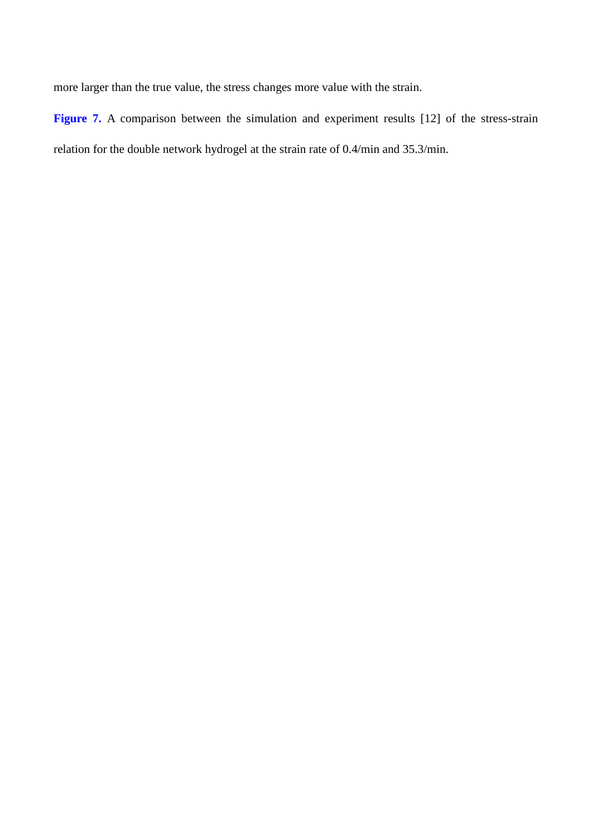more larger than the true value, the stress changes more value with the strain.

Figure 7. A comparison between the simulation and experiment results [12] of the stress-strain relation for the double network hydrogel at the strain rate of 0.4/min and 35.3/min.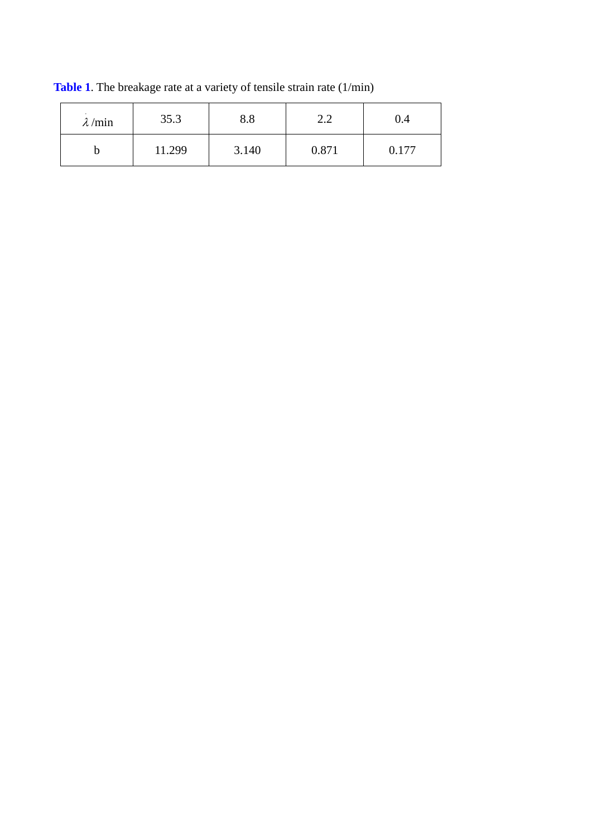| $\lambda$ /min | 35.3   | 8.8   | 2.2   | 0.4   |
|----------------|--------|-------|-------|-------|
|                | 11.299 | 3.140 | 0.871 | 0.177 |

**Table 1**. The breakage rate at a variety of tensile strain rate (1/min)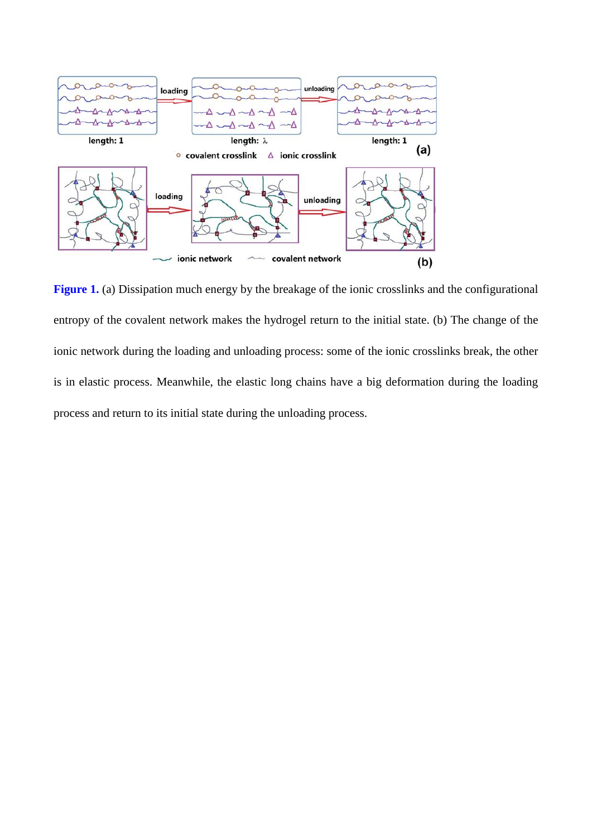

**Figure 1.** (a) Dissipation much energy by the breakage of the ionic crosslinks and the configurational entropy of the covalent network makes the hydrogel return to the initial state. (b) The change of the ionic network during the loading and unloading process: some of the ionic crosslinks break, the other is in elastic process. Meanwhile, the elastic long chains have a big deformation during the loading process and return to its initial state during the unloading process.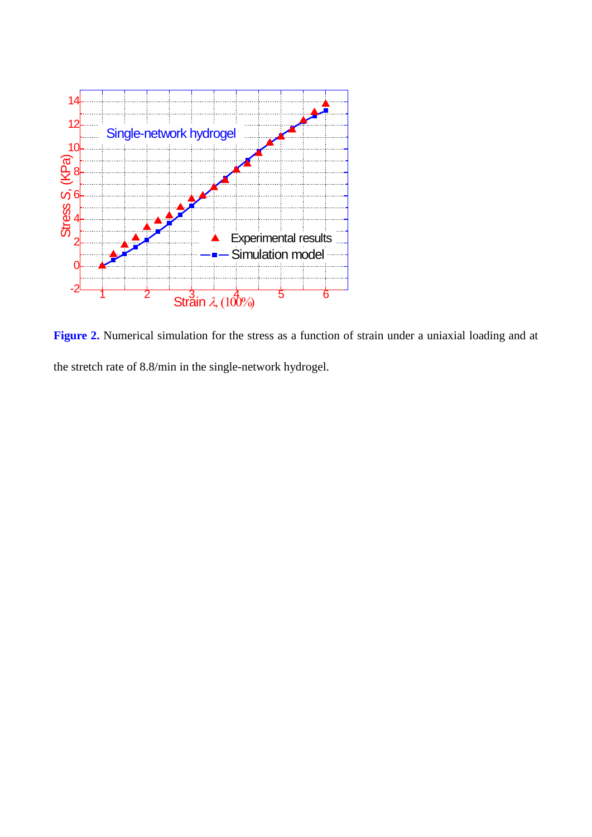

**Figure 2.** Numerical simulation for the stress as a function of strain under a uniaxial loading and at the stretch rate of 8.8/min in the single-network hydrogel.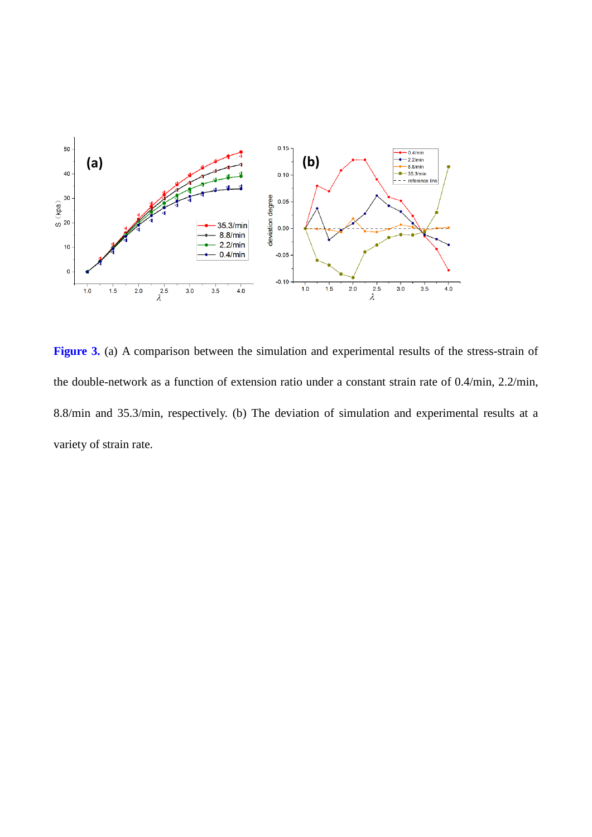

**Figure 3.** (a) A comparison between the simulation and experimental results of the stress-strain of the double-network as a function of extension ratio under a constant strain rate of 0.4/min, 2.2/min, 8.8/min and 35.3/min, respectively. (b) The deviation of simulation and experimental results at a variety of strain rate.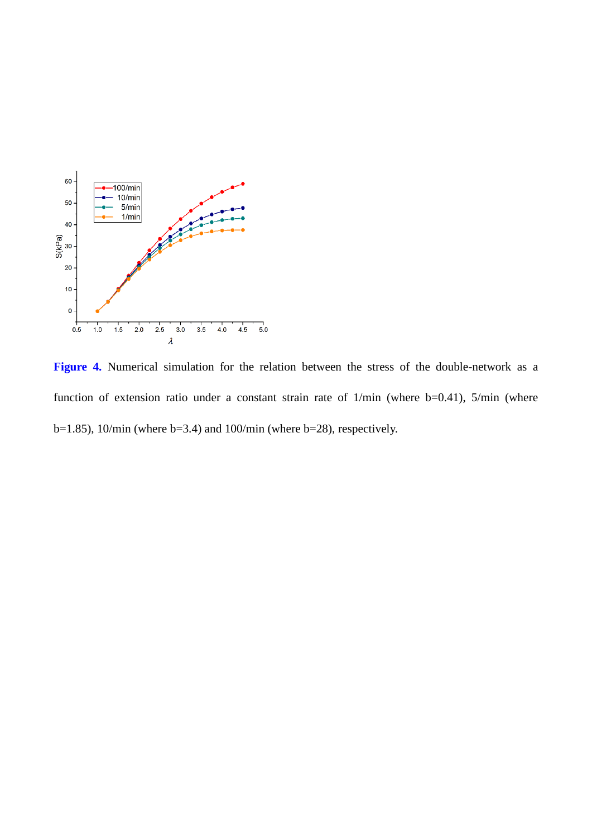

**Figure 4.** Numerical simulation for the relation between the stress of the double-network as a function of extension ratio under a constant strain rate of  $1/\text{min}$  (where b=0.41),  $5/\text{min}$  (where b=1.85), 10/min (where b=3.4) and 100/min (where b=28), respectively.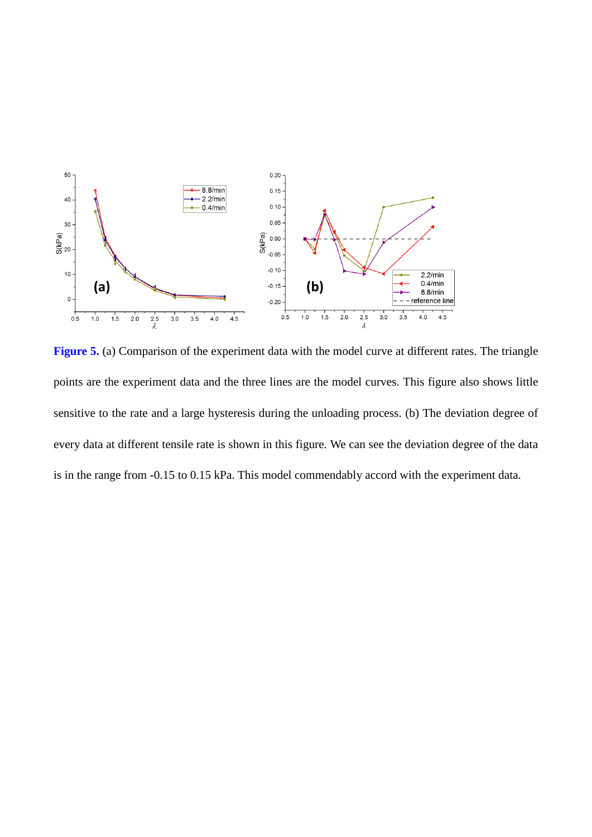

Figure 5. (a) Comparison of the experiment data with the model curve at different rates. The triangle points are the experiment data and the three lines are the model curves. This figure also shows little sensitive to the rate and a large hysteresis during the unloading process. (b) The deviation degree of every data at different tensile rate is shown in this figure. We can see the deviation degree of the data is in the range from -0.15 to 0.15 kPa. This model commendably accord with the experiment data.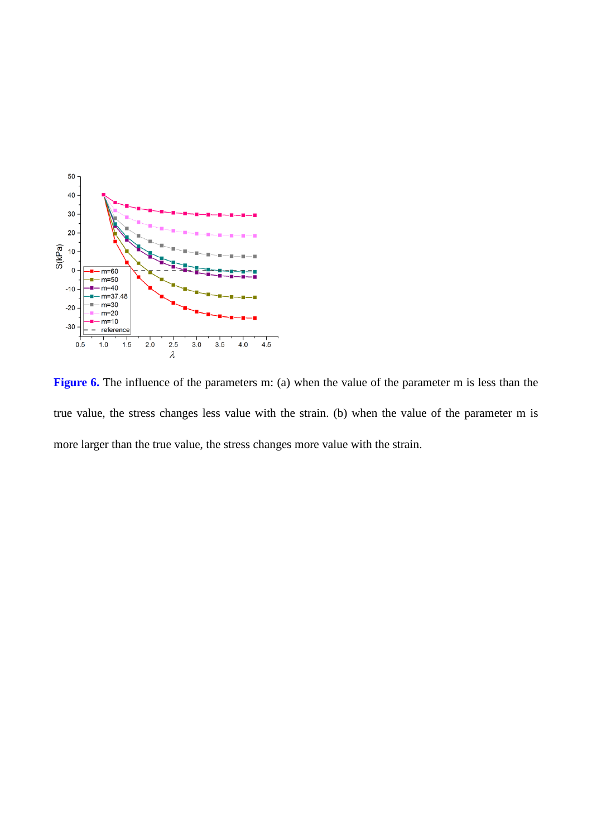

Figure 6. The influence of the parameters m: (a) when the value of the parameter m is less than the true value, the stress changes less value with the strain. (b) when the value of the parameter m is more larger than the true value, the stress changes more value with the strain.